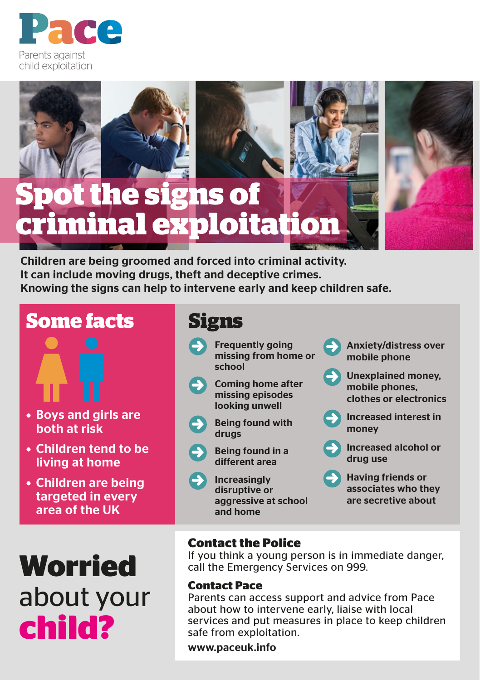



# **Spot the signs of criminal exploitation**



**Some facts**



- Boys and girls are both at risk
- Children tend to be living at home
- Children are being targeted in every area of the UK



## **Signs**

- **D** Frequently going<br>missing from home or school
- **D** Coming home after<br>missing episodes looking unwell
	- **Being found with** drugs
	- Being found in a different area
- **D** Increasingly disruptive or aggressive at school and home

Anxiety/distress over mobile phone

- Unexplained money, mobile phones, clothes or electronics
- **Increased interest in** money
- D Increased alcohol or drug use
- **D** Having friends or associates who they are secretive about

### **Contact the Police**

If you think a young person is in immediate danger, call the Emergency Services on 999.

#### **Contact Pace**

Parents can access support and advice from Pace about how to intervene early, liaise with local services and put measures in place to keep children safe from exploitation.

www.paceuk.info